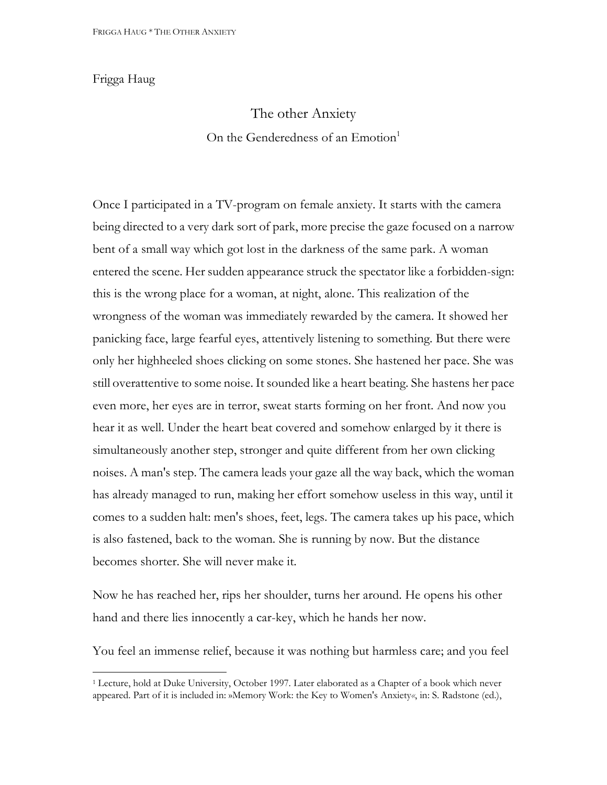# Frigga Haug

 $\overline{a}$ 

# The other Anxiety On the Genderedness of an Emotion<sup>1</sup>

Once I participated in a TV-program on female anxiety. It starts with the camera being directed to a very dark sort of park, more precise the gaze focused on a narrow bent of a small way which got lost in the darkness of the same park. A woman entered the scene. Her sudden appearance struck the spectator like a forbidden-sign: this is the wrong place for a woman, at night, alone. This realization of the wrongness of the woman was immediately rewarded by the camera. It showed her panicking face, large fearful eyes, attentively listening to something. But there were only her highheeled shoes clicking on some stones. She hastened her pace. She was still overattentive to some noise. It sounded like a heart beating. She hastens her pace even more, her eyes are in terror, sweat starts forming on her front. And now you hear it as well. Under the heart beat covered and somehow enlarged by it there is simultaneously another step, stronger and quite different from her own clicking noises. A man's step. The camera leads your gaze all the way back, which the woman has already managed to run, making her effort somehow useless in this way, until it comes to a sudden halt: men's shoes, feet, legs. The camera takes up his pace, which is also fastened, back to the woman. She is running by now. But the distance becomes shorter. She will never make it.

Now he has reached her, rips her shoulder, turns her around. He opens his other hand and there lies innocently a car-key, which he hands her now.

You feel an immense relief, because it was nothing but harmless care; and you feel

<sup>1</sup> Lecture, hold at Duke University, October 1997. Later elaborated as a Chapter of a book which never appeared. Part of it is included in: »Memory Work: the Key to Women's Anxiety«, in: S. Radstone (ed.),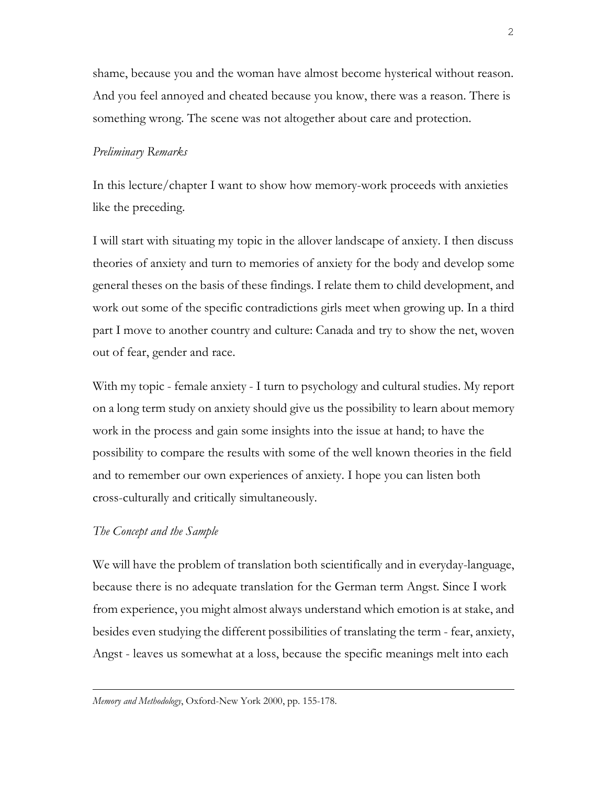shame, because you and the woman have almost become hysterical without reason. And you feel annoyed and cheated because you know, there was a reason. There is something wrong. The scene was not altogether about care and protection.

# Preliminary Remarks

In this lecture/chapter I want to show how memory-work proceeds with anxieties like the preceding.

I will start with situating my topic in the allover landscape of anxiety. I then discuss theories of anxiety and turn to memories of anxiety for the body and develop some general theses on the basis of these findings. I relate them to child development, and work out some of the specific contradictions girls meet when growing up. In a third part I move to another country and culture: Canada and try to show the net, woven out of fear, gender and race.

With my topic - female anxiety - I turn to psychology and cultural studies. My report on a long term study on anxiety should give us the possibility to learn about memory work in the process and gain some insights into the issue at hand; to have the possibility to compare the results with some of the well known theories in the field and to remember our own experiences of anxiety. I hope you can listen both cross-culturally and critically simultaneously.

# The Concept and the Sample

 $\overline{a}$ 

We will have the problem of translation both scientifically and in everyday-language, because there is no adequate translation for the German term Angst. Since I work from experience, you might almost always understand which emotion is at stake, and besides even studying the different possibilities of translating the term - fear, anxiety, Angst - leaves us somewhat at a loss, because the specific meanings melt into each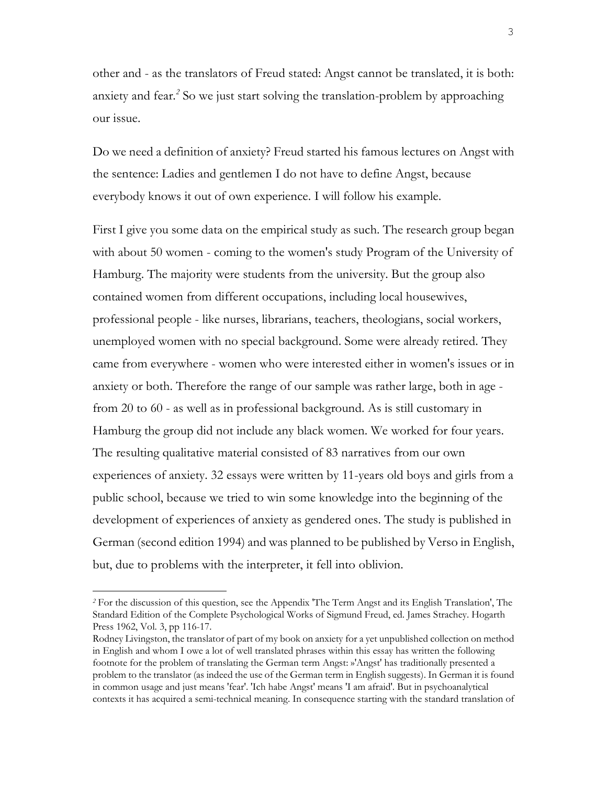other and - as the translators of Freud stated: Angst cannot be translated, it is both: anxiety and fear.<sup>2</sup> So we just start solving the translation-problem by approaching our issue.

Do we need a definition of anxiety? Freud started his famous lectures on Angst with the sentence: Ladies and gentlemen I do not have to define Angst, because everybody knows it out of own experience. I will follow his example.

First I give you some data on the empirical study as such. The research group began with about 50 women - coming to the women's study Program of the University of Hamburg. The majority were students from the university. But the group also contained women from different occupations, including local housewives, professional people - like nurses, librarians, teachers, theologians, social workers, unemployed women with no special background. Some were already retired. They came from everywhere - women who were interested either in women's issues or in anxiety or both. Therefore the range of our sample was rather large, both in age from 20 to 60 - as well as in professional background. As is still customary in Hamburg the group did not include any black women. We worked for four years. The resulting qualitative material consisted of 83 narratives from our own experiences of anxiety. 32 essays were written by 11-years old boys and girls from a public school, because we tried to win some knowledge into the beginning of the development of experiences of anxiety as gendered ones. The study is published in German (second edition 1994) and was planned to be published by Verso in English, but, due to problems with the interpreter, it fell into oblivion.

<sup>2</sup> For the discussion of this question, see the Appendix 'The Term Angst and its English Translation', The Standard Edition of the Complete Psychological Works of Sigmund Freud, ed. James Strachey. Hogarth Press 1962, Vol. 3, pp 116-17.

Rodney Livingston, the translator of part of my book on anxiety for a yet unpublished collection on method in English and whom I owe a lot of well translated phrases within this essay has written the following footnote for the problem of translating the German term Angst: »'Angst' has traditionally presented a problem to the translator (as indeed the use of the German term in English suggests). In German it is found in common usage and just means 'fear'. 'Ich habe Angst' means 'I am afraid'. But in psychoanalytical contexts it has acquired a semi-technical meaning. In consequence starting with the standard translation of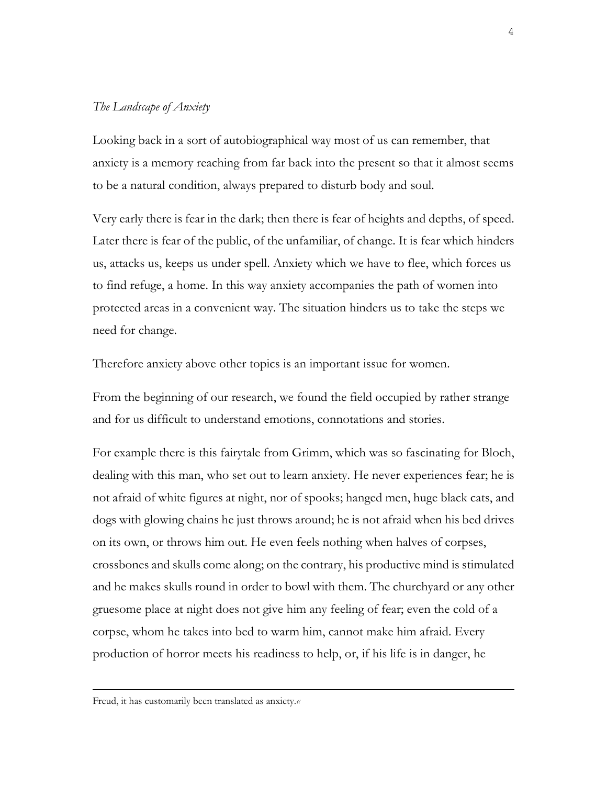# The Landscape of Anxiety

Looking back in a sort of autobiographical way most of us can remember, that anxiety is a memory reaching from far back into the present so that it almost seems to be a natural condition, always prepared to disturb body and soul.

Very early there is fear in the dark; then there is fear of heights and depths, of speed. Later there is fear of the public, of the unfamiliar, of change. It is fear which hinders us, attacks us, keeps us under spell. Anxiety which we have to flee, which forces us to find refuge, a home. In this way anxiety accompanies the path of women into protected areas in a convenient way. The situation hinders us to take the steps we need for change.

Therefore anxiety above other topics is an important issue for women.

From the beginning of our research, we found the field occupied by rather strange and for us difficult to understand emotions, connotations and stories.

For example there is this fairytale from Grimm, which was so fascinating for Bloch, dealing with this man, who set out to learn anxiety. He never experiences fear; he is not afraid of white figures at night, nor of spooks; hanged men, huge black cats, and dogs with glowing chains he just throws around; he is not afraid when his bed drives on its own, or throws him out. He even feels nothing when halves of corpses, crossbones and skulls come along; on the contrary, his productive mind is stimulated and he makes skulls round in order to bowl with them. The churchyard or any other gruesome place at night does not give him any feeling of fear; even the cold of a corpse, whom he takes into bed to warm him, cannot make him afraid. Every production of horror meets his readiness to help, or, if his life is in danger, he

Freud, it has customarily been translated as anxiety.«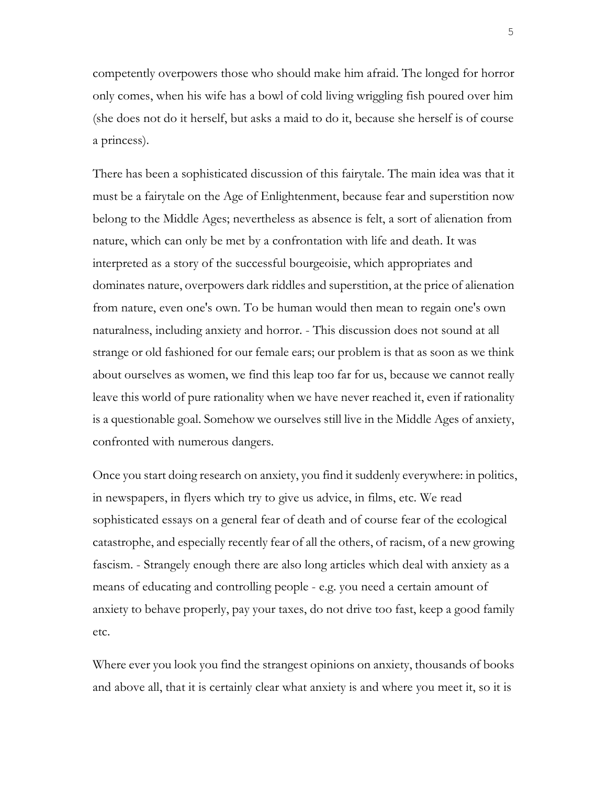competently overpowers those who should make him afraid. The longed for horror only comes, when his wife has a bowl of cold living wriggling fish poured over him (she does not do it herself, but asks a maid to do it, because she herself is of course a princess).

There has been a sophisticated discussion of this fairytale. The main idea was that it must be a fairytale on the Age of Enlightenment, because fear and superstition now belong to the Middle Ages; nevertheless as absence is felt, a sort of alienation from nature, which can only be met by a confrontation with life and death. It was interpreted as a story of the successful bourgeoisie, which appropriates and dominates nature, overpowers dark riddles and superstition, at the price of alienation from nature, even one's own. To be human would then mean to regain one's own naturalness, including anxiety and horror. - This discussion does not sound at all strange or old fashioned for our female ears; our problem is that as soon as we think about ourselves as women, we find this leap too far for us, because we cannot really leave this world of pure rationality when we have never reached it, even if rationality is a questionable goal. Somehow we ourselves still live in the Middle Ages of anxiety, confronted with numerous dangers.

Once you start doing research on anxiety, you find it suddenly everywhere: in politics, in newspapers, in flyers which try to give us advice, in films, etc. We read sophisticated essays on a general fear of death and of course fear of the ecological catastrophe, and especially recently fear of all the others, of racism, of a new growing fascism. - Strangely enough there are also long articles which deal with anxiety as a means of educating and controlling people - e.g. you need a certain amount of anxiety to behave properly, pay your taxes, do not drive too fast, keep a good family etc.

Where ever you look you find the strangest opinions on anxiety, thousands of books and above all, that it is certainly clear what anxiety is and where you meet it, so it is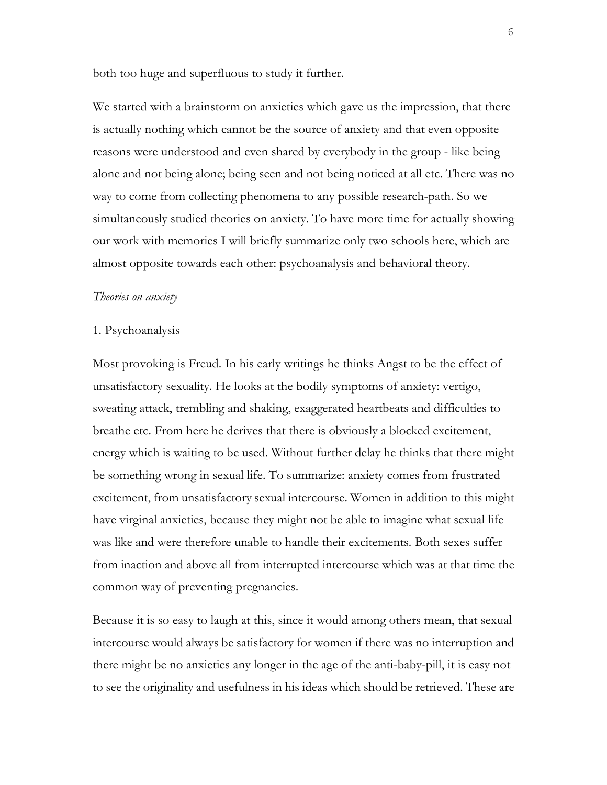both too huge and superfluous to study it further.

We started with a brainstorm on anxieties which gave us the impression, that there is actually nothing which cannot be the source of anxiety and that even opposite reasons were understood and even shared by everybody in the group - like being alone and not being alone; being seen and not being noticed at all etc. There was no way to come from collecting phenomena to any possible research-path. So we simultaneously studied theories on anxiety. To have more time for actually showing our work with memories I will briefly summarize only two schools here, which are almost opposite towards each other: psychoanalysis and behavioral theory.

## Theories on anxiety

#### 1. Psychoanalysis

Most provoking is Freud. In his early writings he thinks Angst to be the effect of unsatisfactory sexuality. He looks at the bodily symptoms of anxiety: vertigo, sweating attack, trembling and shaking, exaggerated heartbeats and difficulties to breathe etc. From here he derives that there is obviously a blocked excitement, energy which is waiting to be used. Without further delay he thinks that there might be something wrong in sexual life. To summarize: anxiety comes from frustrated excitement, from unsatisfactory sexual intercourse. Women in addition to this might have virginal anxieties, because they might not be able to imagine what sexual life was like and were therefore unable to handle their excitements. Both sexes suffer from inaction and above all from interrupted intercourse which was at that time the common way of preventing pregnancies.

Because it is so easy to laugh at this, since it would among others mean, that sexual intercourse would always be satisfactory for women if there was no interruption and there might be no anxieties any longer in the age of the anti-baby-pill, it is easy not to see the originality and usefulness in his ideas which should be retrieved. These are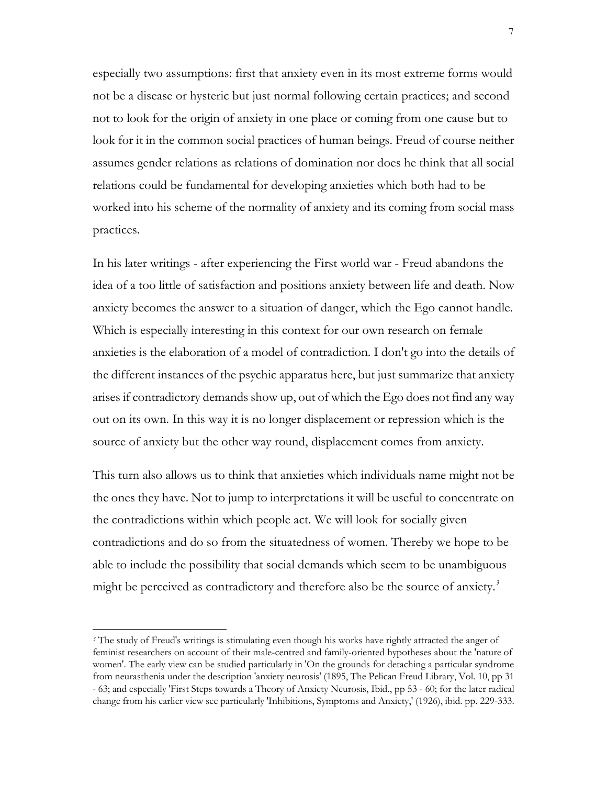especially two assumptions: first that anxiety even in its most extreme forms would not be a disease or hysteric but just normal following certain practices; and second not to look for the origin of anxiety in one place or coming from one cause but to look for it in the common social practices of human beings. Freud of course neither assumes gender relations as relations of domination nor does he think that all social relations could be fundamental for developing anxieties which both had to be worked into his scheme of the normality of anxiety and its coming from social mass practices.

In his later writings - after experiencing the First world war - Freud abandons the idea of a too little of satisfaction and positions anxiety between life and death. Now anxiety becomes the answer to a situation of danger, which the Ego cannot handle. Which is especially interesting in this context for our own research on female anxieties is the elaboration of a model of contradiction. I don't go into the details of the different instances of the psychic apparatus here, but just summarize that anxiety arises if contradictory demands show up, out of which the Ego does not find any way out on its own. In this way it is no longer displacement or repression which is the source of anxiety but the other way round, displacement comes from anxiety.

This turn also allows us to think that anxieties which individuals name might not be the ones they have. Not to jump to interpretations it will be useful to concentrate on the contradictions within which people act. We will look for socially given contradictions and do so from the situatedness of women. Thereby we hope to be able to include the possibility that social demands which seem to be unambiguous might be perceived as contradictory and therefore also be the source of anxiety.<sup>3</sup>

<sup>&</sup>lt;sup>3</sup> The study of Freud's writings is stimulating even though his works have rightly attracted the anger of feminist researchers on account of their male-centred and family-oriented hypotheses about the 'nature of women'. The early view can be studied particularly in 'On the grounds for detaching a particular syndrome from neurasthenia under the description 'anxiety neurosis' (1895, The Pelican Freud Library, Vol. 10, pp 31 - 63; and especially 'First Steps towards a Theory of Anxiety Neurosis, Ibid., pp 53 - 60; for the later radical change from his earlier view see particularly 'Inhibitions, Symptoms and Anxiety,' (1926), ibid. pp. 229-333.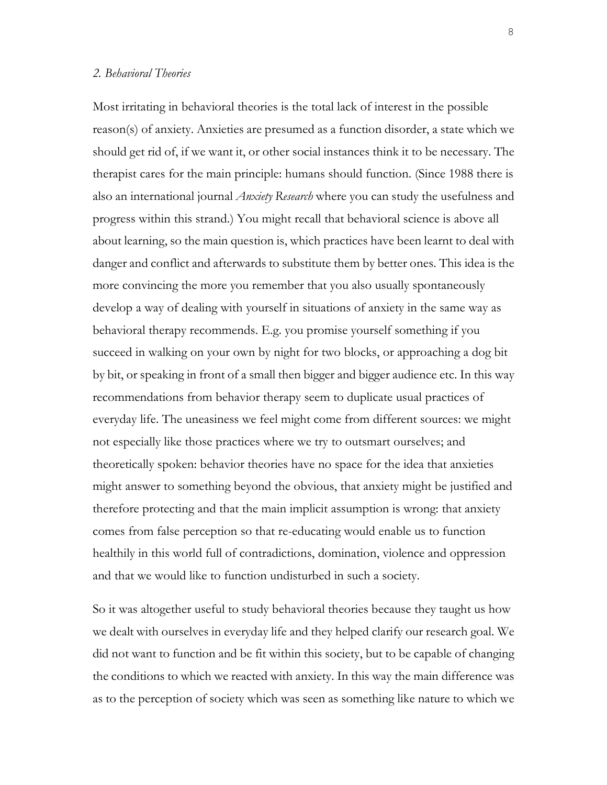# 2. Behavioral Theories

Most irritating in behavioral theories is the total lack of interest in the possible reason(s) of anxiety. Anxieties are presumed as a function disorder, a state which we should get rid of, if we want it, or other social instances think it to be necessary. The therapist cares for the main principle: humans should function. (Since 1988 there is also an international journal *Anxiety* Research where you can study the usefulness and progress within this strand.) You might recall that behavioral science is above all about learning, so the main question is, which practices have been learnt to deal with danger and conflict and afterwards to substitute them by better ones. This idea is the more convincing the more you remember that you also usually spontaneously develop a way of dealing with yourself in situations of anxiety in the same way as behavioral therapy recommends. E.g. you promise yourself something if you succeed in walking on your own by night for two blocks, or approaching a dog bit by bit, or speaking in front of a small then bigger and bigger audience etc. In this way recommendations from behavior therapy seem to duplicate usual practices of everyday life. The uneasiness we feel might come from different sources: we might not especially like those practices where we try to outsmart ourselves; and theoretically spoken: behavior theories have no space for the idea that anxieties might answer to something beyond the obvious, that anxiety might be justified and therefore protecting and that the main implicit assumption is wrong: that anxiety comes from false perception so that re-educating would enable us to function healthily in this world full of contradictions, domination, violence and oppression and that we would like to function undisturbed in such a society.

So it was altogether useful to study behavioral theories because they taught us how we dealt with ourselves in everyday life and they helped clarify our research goal. We did not want to function and be fit within this society, but to be capable of changing the conditions to which we reacted with anxiety. In this way the main difference was as to the perception of society which was seen as something like nature to which we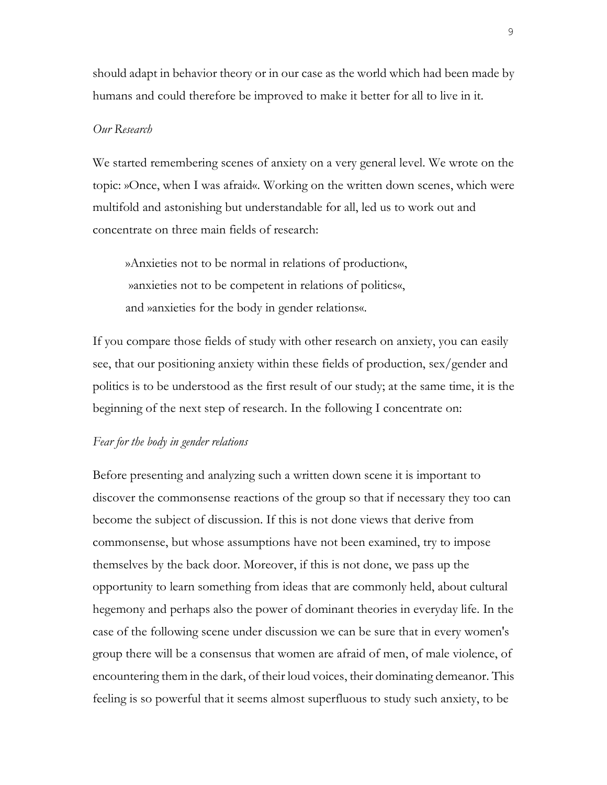should adapt in behavior theory or in our case as the world which had been made by humans and could therefore be improved to make it better for all to live in it.

# Our Research

We started remembering scenes of anxiety on a very general level. We wrote on the topic: »Once, when I was afraid«. Working on the written down scenes, which were multifold and astonishing but understandable for all, led us to work out and concentrate on three main fields of research:

»Anxieties not to be normal in relations of production«, »anxieties not to be competent in relations of politics«, and »anxieties for the body in gender relations«.

If you compare those fields of study with other research on anxiety, you can easily see, that our positioning anxiety within these fields of production, sex/gender and politics is to be understood as the first result of our study; at the same time, it is the beginning of the next step of research. In the following I concentrate on:

## Fear for the body in gender relations

Before presenting and analyzing such a written down scene it is important to discover the commonsense reactions of the group so that if necessary they too can become the subject of discussion. If this is not done views that derive from commonsense, but whose assumptions have not been examined, try to impose themselves by the back door. Moreover, if this is not done, we pass up the opportunity to learn something from ideas that are commonly held, about cultural hegemony and perhaps also the power of dominant theories in everyday life. In the case of the following scene under discussion we can be sure that in every women's group there will be a consensus that women are afraid of men, of male violence, of encountering them in the dark, of their loud voices, their dominating demeanor. This feeling is so powerful that it seems almost superfluous to study such anxiety, to be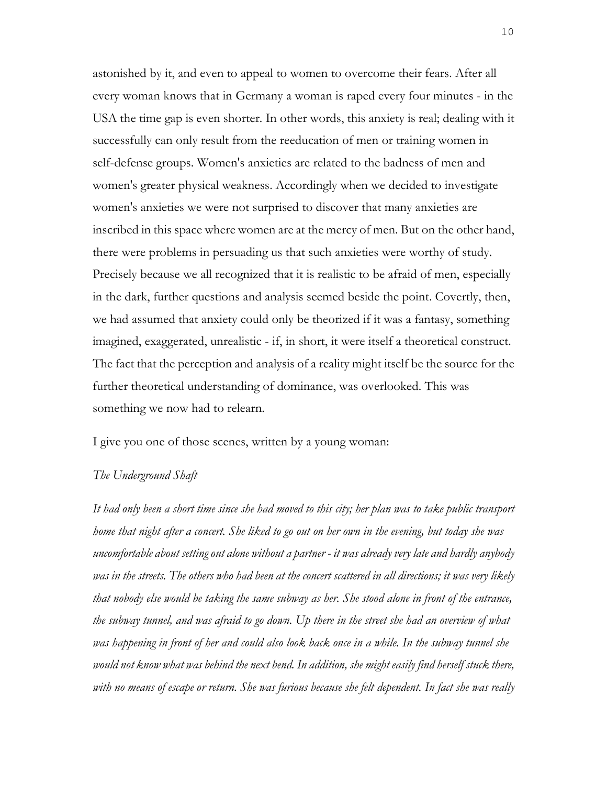astonished by it, and even to appeal to women to overcome their fears. After all every woman knows that in Germany a woman is raped every four minutes - in the USA the time gap is even shorter. In other words, this anxiety is real; dealing with it successfully can only result from the reeducation of men or training women in self-defense groups. Women's anxieties are related to the badness of men and women's greater physical weakness. Accordingly when we decided to investigate women's anxieties we were not surprised to discover that many anxieties are inscribed in this space where women are at the mercy of men. But on the other hand, there were problems in persuading us that such anxieties were worthy of study. Precisely because we all recognized that it is realistic to be afraid of men, especially in the dark, further questions and analysis seemed beside the point. Covertly, then, we had assumed that anxiety could only be theorized if it was a fantasy, something imagined, exaggerated, unrealistic - if, in short, it were itself a theoretical construct. The fact that the perception and analysis of a reality might itself be the source for the further theoretical understanding of dominance, was overlooked. This was something we now had to relearn.

I give you one of those scenes, written by a young woman:

#### The Underground Shaft

It had only been a short time since she had moved to this city; her plan was to take public transport home that night after a concert. She liked to go out on her own in the evening, but today she was uncomfortable about setting out alone without a partner - it was already very late and hardly anybody was in the streets. The others who had been at the concert scattered in all directions; it was very likely that nobody else would be taking the same subway as her. She stood alone in front of the entrance, the subway tunnel, and was afraid to go down. Up there in the street she had an overview of what was happening in front of her and could also look back once in a while. In the subway tunnel she would not know what was behind the next bend. In addition, she might easily find herself stuck there, with no means of escape or return. She was furious because she felt dependent. In fact she was really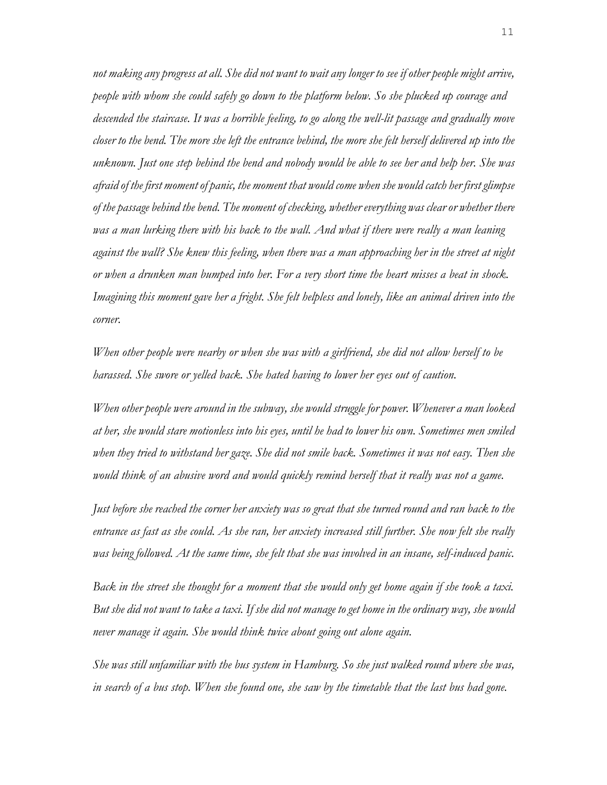not making any progress at all. She did not want to wait any longer to see if other people might arrive, people with whom she could safely go down to the platform below. So she plucked up courage and descended the staircase. It was a horrible feeling, to go along the well-lit passage and gradually move closer to the bend. The more she left the entrance behind, the more she felt herself delivered up into the unknown. Just one step behind the bend and nobody would be able to see her and help her. She was afraid of the first moment of panic, the moment that would come when she would catch her first glimpse of the passage behind the bend. The moment of checking, whether everything was clear or whether there was a man lurking there with his back to the wall. And what if there were really a man leaning against the wall? She knew this feeling, when there was a man approaching her in the street at night or when a drunken man bumped into her. For a very short time the heart misses a beat in shock. Imagining this moment gave her a fright. She felt helpless and lonely, like an animal driven into the corner.

When other people were nearby or when she was with a girlfriend, she did not allow herself to be harassed. She swore or yelled back. She hated having to lower her eyes out of caution.

When other people were around in the subway, she would struggle for power. Whenever a man looked at her, she would stare motionless into his eyes, until he had to lower his own. Sometimes men smiled when they tried to withstand her gaze. She did not smile back. Sometimes it was not easy. Then she would think of an abusive word and would quickly remind herself that it really was not a game.

Just before she reached the corner her anxiety was so great that she turned round and ran back to the entrance as fast as she could. As she ran, her anxiety increased still further. She now felt she really was being followed. At the same time, she felt that she was involved in an insane, self-induced panic.

Back in the street she thought for a moment that she would only get home again if she took a taxi. But she did not want to take a taxi. If she did not manage to get home in the ordinary way, she would never manage it again. She would think twice about going out alone again.

She was still unfamiliar with the bus system in Hamburg. So she just walked round where she was, in search of a bus stop. When she found one, she saw by the timetable that the last bus had gone.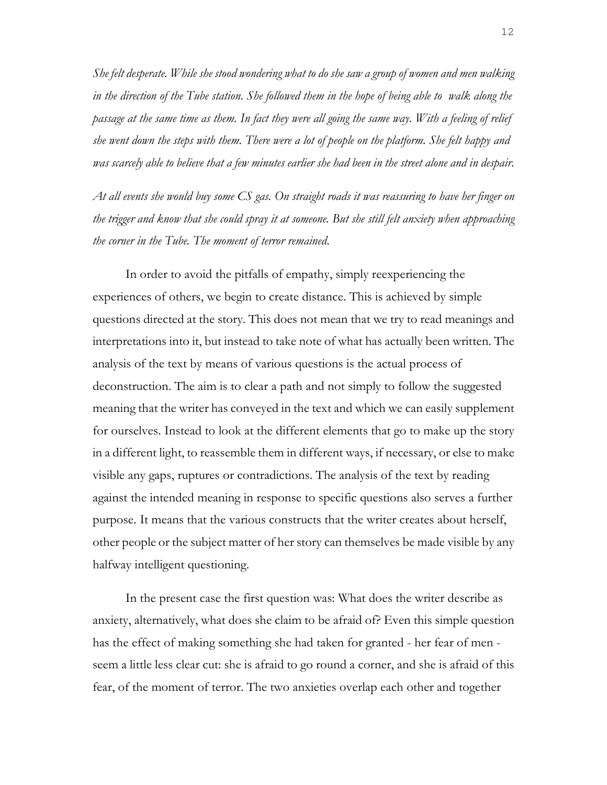She felt desperate. While she stood wondering what to do she saw a group of women and men walking in the direction of the Tube station. She followed them in the hope of being able to walk along the passage at the same time as them. In fact they were all going the same way. With a feeling of relief she went down the steps with them. There were a lot of people on the platform. She felt happy and was scarcely able to believe that a few minutes earlier she had been in the street alone and in despair.

At all events she would buy some CS gas. On straight roads it was reassuring to have her finger on the trigger and know that she could spray it at someone. But she still felt anxiety when approaching the corner in the Tube. The moment of terror remained.

 In order to avoid the pitfalls of empathy, simply reexperiencing the experiences of others, we begin to create distance. This is achieved by simple questions directed at the story. This does not mean that we try to read meanings and interpretations into it, but instead to take note of what has actually been written. The analysis of the text by means of various questions is the actual process of deconstruction. The aim is to clear a path and not simply to follow the suggested meaning that the writer has conveyed in the text and which we can easily supplement for ourselves. Instead to look at the different elements that go to make up the story in a different light, to reassemble them in different ways, if necessary, or else to make visible any gaps, ruptures or contradictions. The analysis of the text by reading against the intended meaning in response to specific questions also serves a further purpose. It means that the various constructs that the writer creates about herself, other people or the subject matter of her story can themselves be made visible by any halfway intelligent questioning.

 In the present case the first question was: What does the writer describe as anxiety, alternatively, what does she claim to be afraid of? Even this simple question has the effect of making something she had taken for granted - her fear of men seem a little less clear cut: she is afraid to go round a corner, and she is afraid of this fear, of the moment of terror. The two anxieties overlap each other and together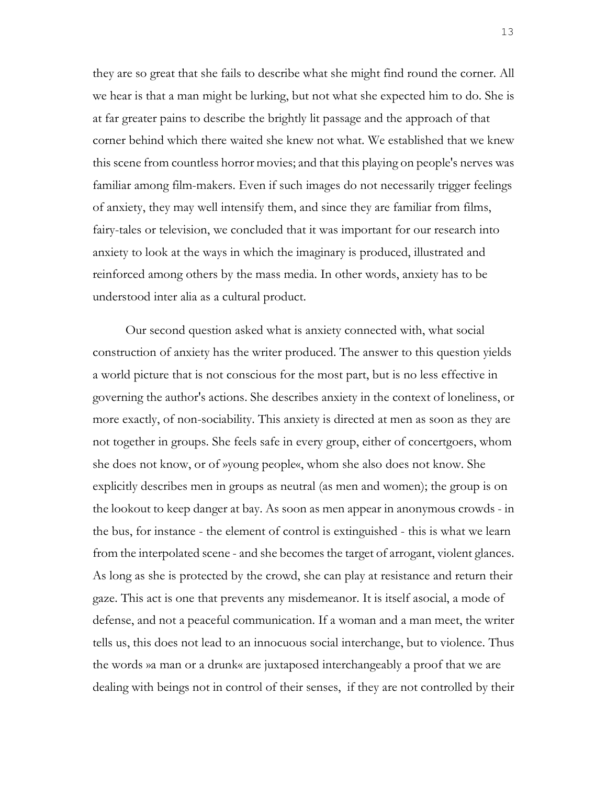they are so great that she fails to describe what she might find round the corner. All we hear is that a man might be lurking, but not what she expected him to do. She is at far greater pains to describe the brightly lit passage and the approach of that corner behind which there waited she knew not what. We established that we knew this scene from countless horror movies; and that this playing on people's nerves was familiar among film-makers. Even if such images do not necessarily trigger feelings of anxiety, they may well intensify them, and since they are familiar from films, fairy-tales or television, we concluded that it was important for our research into anxiety to look at the ways in which the imaginary is produced, illustrated and reinforced among others by the mass media. In other words, anxiety has to be understood inter alia as a cultural product.

 Our second question asked what is anxiety connected with, what social construction of anxiety has the writer produced. The answer to this question yields a world picture that is not conscious for the most part, but is no less effective in governing the author's actions. She describes anxiety in the context of loneliness, or more exactly, of non-sociability. This anxiety is directed at men as soon as they are not together in groups. She feels safe in every group, either of concertgoers, whom she does not know, or of »young people«, whom she also does not know. She explicitly describes men in groups as neutral (as men and women); the group is on the lookout to keep danger at bay. As soon as men appear in anonymous crowds - in the bus, for instance - the element of control is extinguished - this is what we learn from the interpolated scene - and she becomes the target of arrogant, violent glances. As long as she is protected by the crowd, she can play at resistance and return their gaze. This act is one that prevents any misdemeanor. It is itself asocial, a mode of defense, and not a peaceful communication. If a woman and a man meet, the writer tells us, this does not lead to an innocuous social interchange, but to violence. Thus the words »a man or a drunk« are juxtaposed interchangeably a proof that we are dealing with beings not in control of their senses, if they are not controlled by their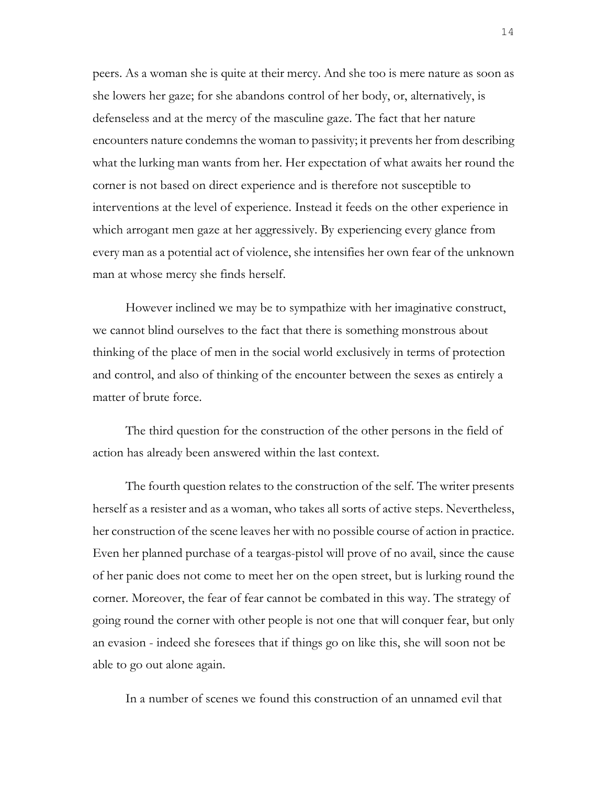peers. As a woman she is quite at their mercy. And she too is mere nature as soon as she lowers her gaze; for she abandons control of her body, or, alternatively, is defenseless and at the mercy of the masculine gaze. The fact that her nature encounters nature condemns the woman to passivity; it prevents her from describing what the lurking man wants from her. Her expectation of what awaits her round the corner is not based on direct experience and is therefore not susceptible to interventions at the level of experience. Instead it feeds on the other experience in which arrogant men gaze at her aggressively. By experiencing every glance from every man as a potential act of violence, she intensifies her own fear of the unknown man at whose mercy she finds herself.

 However inclined we may be to sympathize with her imaginative construct, we cannot blind ourselves to the fact that there is something monstrous about thinking of the place of men in the social world exclusively in terms of protection and control, and also of thinking of the encounter between the sexes as entirely a matter of brute force.

 The third question for the construction of the other persons in the field of action has already been answered within the last context.

 The fourth question relates to the construction of the self. The writer presents herself as a resister and as a woman, who takes all sorts of active steps. Nevertheless, her construction of the scene leaves her with no possible course of action in practice. Even her planned purchase of a teargas-pistol will prove of no avail, since the cause of her panic does not come to meet her on the open street, but is lurking round the corner. Moreover, the fear of fear cannot be combated in this way. The strategy of going round the corner with other people is not one that will conquer fear, but only an evasion - indeed she foresees that if things go on like this, she will soon not be able to go out alone again.

In a number of scenes we found this construction of an unnamed evil that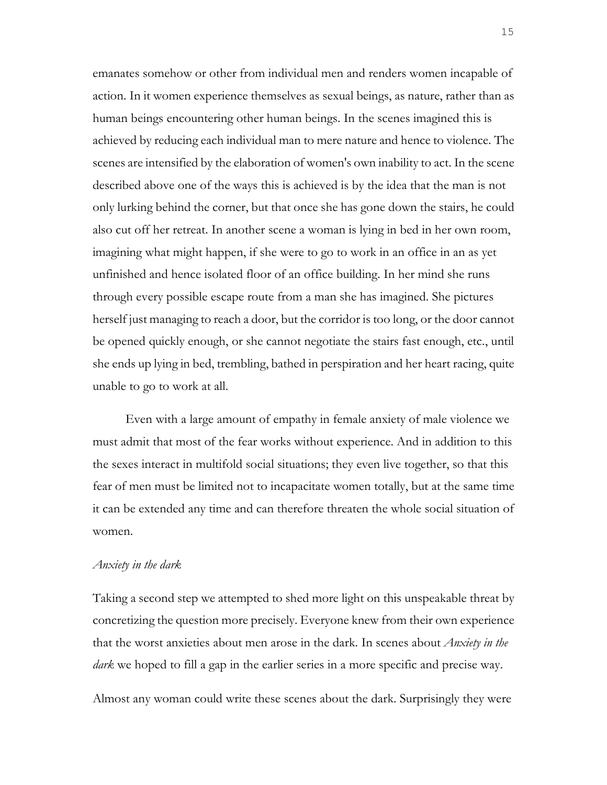emanates somehow or other from individual men and renders women incapable of action. In it women experience themselves as sexual beings, as nature, rather than as human beings encountering other human beings. In the scenes imagined this is achieved by reducing each individual man to mere nature and hence to violence. The scenes are intensified by the elaboration of women's own inability to act. In the scene described above one of the ways this is achieved is by the idea that the man is not only lurking behind the corner, but that once she has gone down the stairs, he could also cut off her retreat. In another scene a woman is lying in bed in her own room, imagining what might happen, if she were to go to work in an office in an as yet unfinished and hence isolated floor of an office building. In her mind she runs through every possible escape route from a man she has imagined. She pictures herself just managing to reach a door, but the corridor is too long, or the door cannot be opened quickly enough, or she cannot negotiate the stairs fast enough, etc., until she ends up lying in bed, trembling, bathed in perspiration and her heart racing, quite unable to go to work at all.

 Even with a large amount of empathy in female anxiety of male violence we must admit that most of the fear works without experience. And in addition to this the sexes interact in multifold social situations; they even live together, so that this fear of men must be limited not to incapacitate women totally, but at the same time it can be extended any time and can therefore threaten the whole social situation of women.

#### Anxiety in the dark

Taking a second step we attempted to shed more light on this unspeakable threat by concretizing the question more precisely. Everyone knew from their own experience that the worst anxieties about men arose in the dark. In scenes about Anxiety in the dark we hoped to fill a gap in the earlier series in a more specific and precise way.

Almost any woman could write these scenes about the dark. Surprisingly they were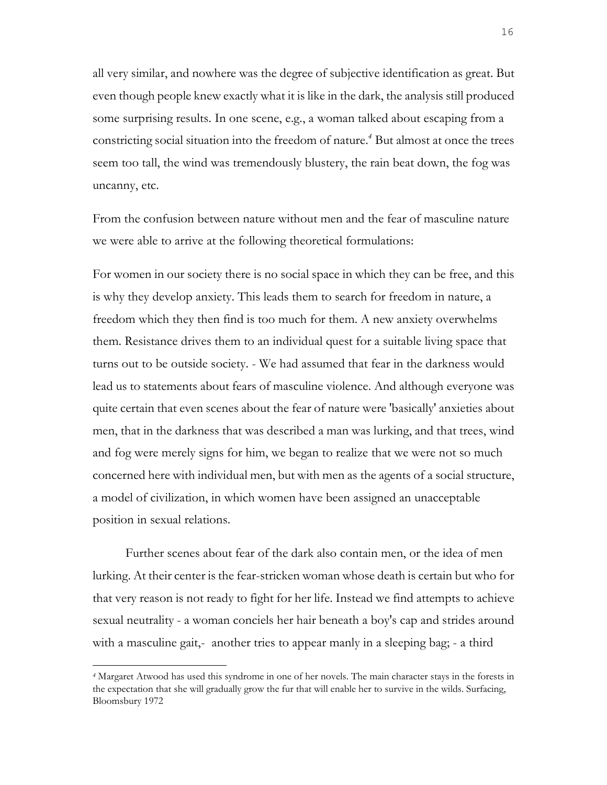all very similar, and nowhere was the degree of subjective identification as great. But even though people knew exactly what it is like in the dark, the analysis still produced some surprising results. In one scene, e.g., a woman talked about escaping from a constricting social situation into the freedom of nature.<sup>4</sup> But almost at once the trees seem too tall, the wind was tremendously blustery, the rain beat down, the fog was uncanny, etc.

From the confusion between nature without men and the fear of masculine nature we were able to arrive at the following theoretical formulations:

For women in our society there is no social space in which they can be free, and this is why they develop anxiety. This leads them to search for freedom in nature, a freedom which they then find is too much for them. A new anxiety overwhelms them. Resistance drives them to an individual quest for a suitable living space that turns out to be outside society. - We had assumed that fear in the darkness would lead us to statements about fears of masculine violence. And although everyone was quite certain that even scenes about the fear of nature were 'basically' anxieties about men, that in the darkness that was described a man was lurking, and that trees, wind and fog were merely signs for him, we began to realize that we were not so much concerned here with individual men, but with men as the agents of a social structure, a model of civilization, in which women have been assigned an unacceptable position in sexual relations.

 Further scenes about fear of the dark also contain men, or the idea of men lurking. At their center is the fear-stricken woman whose death is certain but who for that very reason is not ready to fight for her life. Instead we find attempts to achieve sexual neutrality - a woman conciels her hair beneath a boy's cap and strides around with a masculine gait,- another tries to appear manly in a sleeping bag; - a third

<sup>4</sup> Margaret Atwood has used this syndrome in one of her novels. The main character stays in the forests in the expectation that she will gradually grow the fur that will enable her to survive in the wilds. Surfacing, Bloomsbury 1972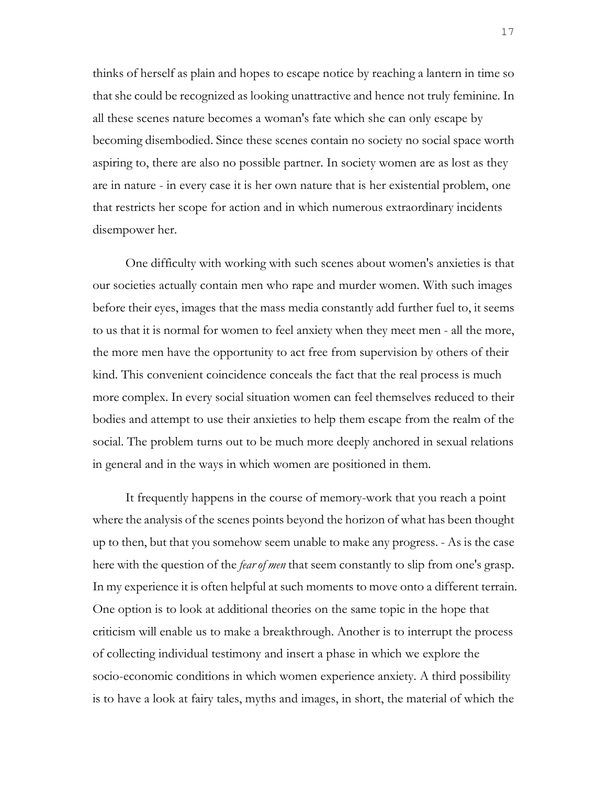thinks of herself as plain and hopes to escape notice by reaching a lantern in time so that she could be recognized as looking unattractive and hence not truly feminine. In all these scenes nature becomes a woman's fate which she can only escape by becoming disembodied. Since these scenes contain no society no social space worth aspiring to, there are also no possible partner. In society women are as lost as they are in nature - in every case it is her own nature that is her existential problem, one that restricts her scope for action and in which numerous extraordinary incidents disempower her.

 One difficulty with working with such scenes about women's anxieties is that our societies actually contain men who rape and murder women. With such images before their eyes, images that the mass media constantly add further fuel to, it seems to us that it is normal for women to feel anxiety when they meet men - all the more, the more men have the opportunity to act free from supervision by others of their kind. This convenient coincidence conceals the fact that the real process is much more complex. In every social situation women can feel themselves reduced to their bodies and attempt to use their anxieties to help them escape from the realm of the social. The problem turns out to be much more deeply anchored in sexual relations in general and in the ways in which women are positioned in them.

 It frequently happens in the course of memory-work that you reach a point where the analysis of the scenes points beyond the horizon of what has been thought up to then, but that you somehow seem unable to make any progress. - As is the case here with the question of the *fear of men* that seem constantly to slip from one's grasp. In my experience it is often helpful at such moments to move onto a different terrain. One option is to look at additional theories on the same topic in the hope that criticism will enable us to make a breakthrough. Another is to interrupt the process of collecting individual testimony and insert a phase in which we explore the socio-economic conditions in which women experience anxiety. A third possibility is to have a look at fairy tales, myths and images, in short, the material of which the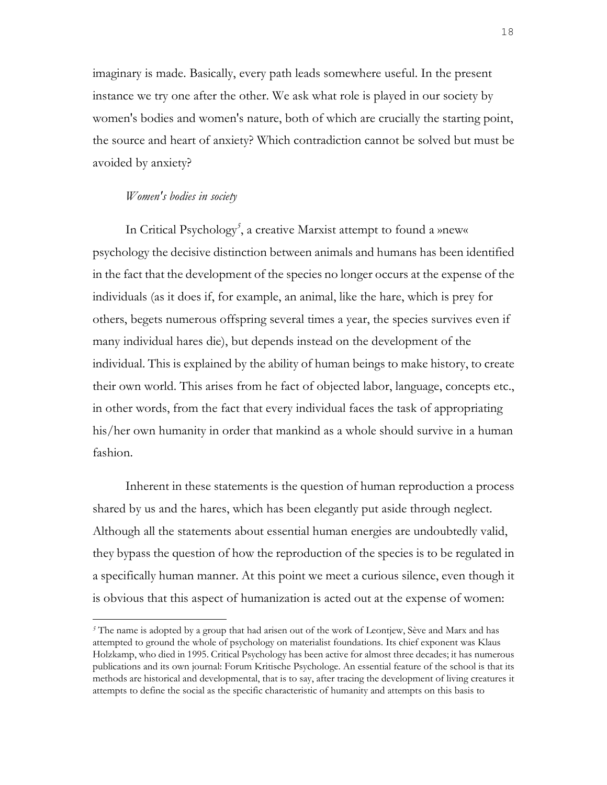imaginary is made. Basically, every path leads somewhere useful. In the present instance we try one after the other. We ask what role is played in our society by women's bodies and women's nature, both of which are crucially the starting point, the source and heart of anxiety? Which contradiction cannot be solved but must be avoided by anxiety?

## Women's bodies in society

 $\overline{a}$ 

In Critical Psychology<sup>5</sup>, a creative Marxist attempt to found a »new« psychology the decisive distinction between animals and humans has been identified in the fact that the development of the species no longer occurs at the expense of the individuals (as it does if, for example, an animal, like the hare, which is prey for others, begets numerous offspring several times a year, the species survives even if many individual hares die), but depends instead on the development of the individual. This is explained by the ability of human beings to make history, to create their own world. This arises from he fact of objected labor, language, concepts etc., in other words, from the fact that every individual faces the task of appropriating his/her own humanity in order that mankind as a whole should survive in a human fashion.

 Inherent in these statements is the question of human reproduction a process shared by us and the hares, which has been elegantly put aside through neglect. Although all the statements about essential human energies are undoubtedly valid, they bypass the question of how the reproduction of the species is to be regulated in a specifically human manner. At this point we meet a curious silence, even though it is obvious that this aspect of humanization is acted out at the expense of women:

<sup>5</sup> The name is adopted by a group that had arisen out of the work of Leontjew, Sève and Marx and has attempted to ground the whole of psychology on materialist foundations. Its chief exponent was Klaus Holzkamp, who died in 1995. Critical Psychology has been active for almost three decades; it has numerous publications and its own journal: Forum Kritische Psychologe. An essential feature of the school is that its methods are historical and developmental, that is to say, after tracing the development of living creatures it attempts to define the social as the specific characteristic of humanity and attempts on this basis to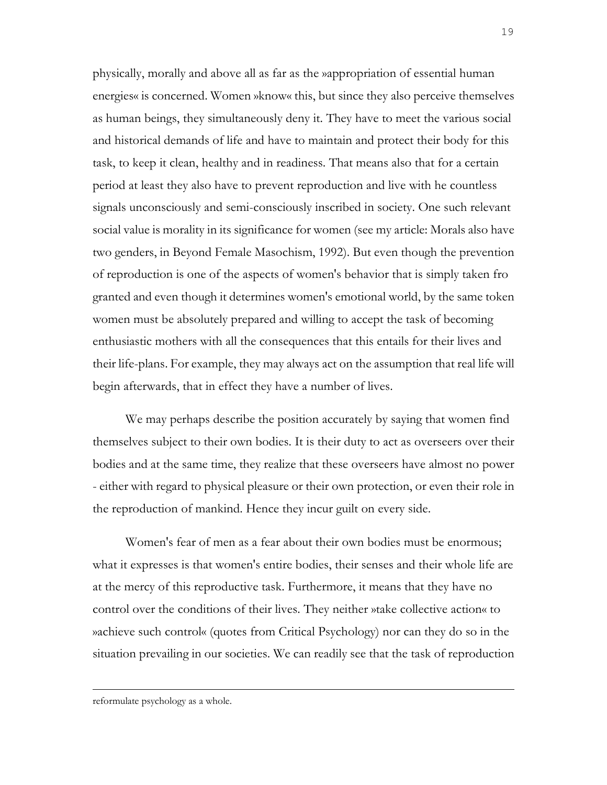physically, morally and above all as far as the »appropriation of essential human energies« is concerned. Women »know« this, but since they also perceive themselves as human beings, they simultaneously deny it. They have to meet the various social and historical demands of life and have to maintain and protect their body for this task, to keep it clean, healthy and in readiness. That means also that for a certain period at least they also have to prevent reproduction and live with he countless signals unconsciously and semi-consciously inscribed in society. One such relevant social value is morality in its significance for women (see my article: Morals also have two genders, in Beyond Female Masochism, 1992). But even though the prevention of reproduction is one of the aspects of women's behavior that is simply taken fro granted and even though it determines women's emotional world, by the same token women must be absolutely prepared and willing to accept the task of becoming enthusiastic mothers with all the consequences that this entails for their lives and their life-plans. For example, they may always act on the assumption that real life will begin afterwards, that in effect they have a number of lives.

 We may perhaps describe the position accurately by saying that women find themselves subject to their own bodies. It is their duty to act as overseers over their bodies and at the same time, they realize that these overseers have almost no power - either with regard to physical pleasure or their own protection, or even their role in the reproduction of mankind. Hence they incur guilt on every side.

 Women's fear of men as a fear about their own bodies must be enormous; what it expresses is that women's entire bodies, their senses and their whole life are at the mercy of this reproductive task. Furthermore, it means that they have no control over the conditions of their lives. They neither »take collective action« to »achieve such control« (quotes from Critical Psychology) nor can they do so in the situation prevailing in our societies. We can readily see that the task of reproduction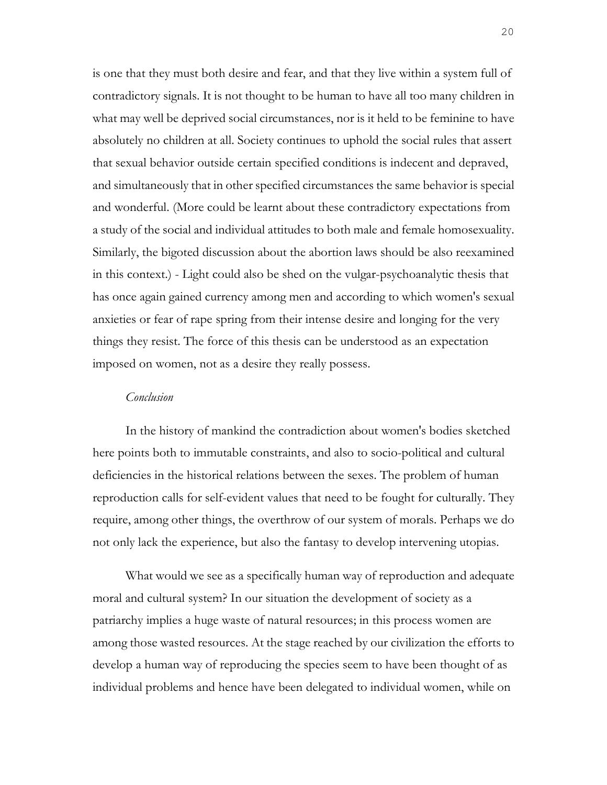is one that they must both desire and fear, and that they live within a system full of contradictory signals. It is not thought to be human to have all too many children in what may well be deprived social circumstances, nor is it held to be feminine to have absolutely no children at all. Society continues to uphold the social rules that assert that sexual behavior outside certain specified conditions is indecent and depraved, and simultaneously that in other specified circumstances the same behavior is special and wonderful. (More could be learnt about these contradictory expectations from a study of the social and individual attitudes to both male and female homosexuality. Similarly, the bigoted discussion about the abortion laws should be also reexamined in this context.) - Light could also be shed on the vulgar-psychoanalytic thesis that has once again gained currency among men and according to which women's sexual anxieties or fear of rape spring from their intense desire and longing for the very things they resist. The force of this thesis can be understood as an expectation imposed on women, not as a desire they really possess.

#### Conclusion

 In the history of mankind the contradiction about women's bodies sketched here points both to immutable constraints, and also to socio-political and cultural deficiencies in the historical relations between the sexes. The problem of human reproduction calls for self-evident values that need to be fought for culturally. They require, among other things, the overthrow of our system of morals. Perhaps we do not only lack the experience, but also the fantasy to develop intervening utopias.

 What would we see as a specifically human way of reproduction and adequate moral and cultural system? In our situation the development of society as a patriarchy implies a huge waste of natural resources; in this process women are among those wasted resources. At the stage reached by our civilization the efforts to develop a human way of reproducing the species seem to have been thought of as individual problems and hence have been delegated to individual women, while on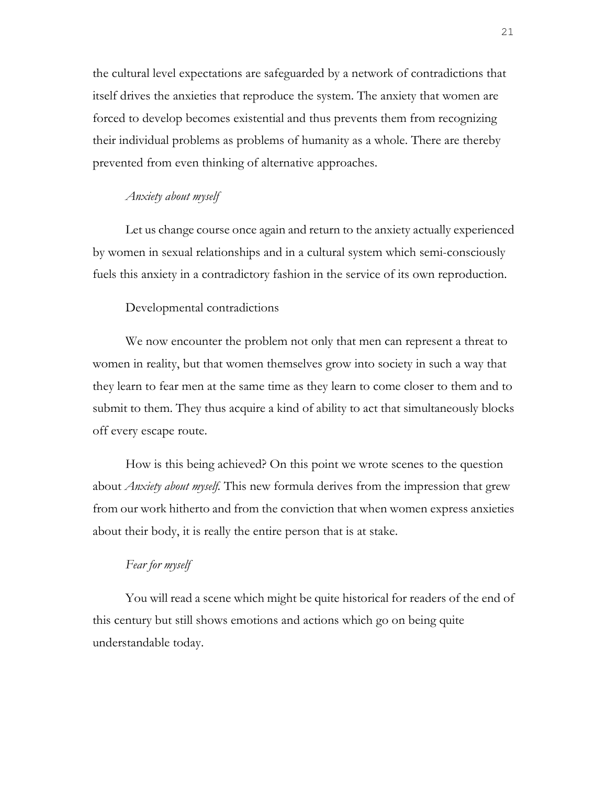the cultural level expectations are safeguarded by a network of contradictions that itself drives the anxieties that reproduce the system. The anxiety that women are forced to develop becomes existential and thus prevents them from recognizing their individual problems as problems of humanity as a whole. There are thereby prevented from even thinking of alternative approaches.

# Anxiety about myself

 Let us change course once again and return to the anxiety actually experienced by women in sexual relationships and in a cultural system which semi-consciously fuels this anxiety in a contradictory fashion in the service of its own reproduction.

## Developmental contradictions

 We now encounter the problem not only that men can represent a threat to women in reality, but that women themselves grow into society in such a way that they learn to fear men at the same time as they learn to come closer to them and to submit to them. They thus acquire a kind of ability to act that simultaneously blocks off every escape route.

 How is this being achieved? On this point we wrote scenes to the question about *Anxiety about myself*. This new formula derives from the impression that grew from our work hitherto and from the conviction that when women express anxieties about their body, it is really the entire person that is at stake.

# Fear for myself

 You will read a scene which might be quite historical for readers of the end of this century but still shows emotions and actions which go on being quite understandable today.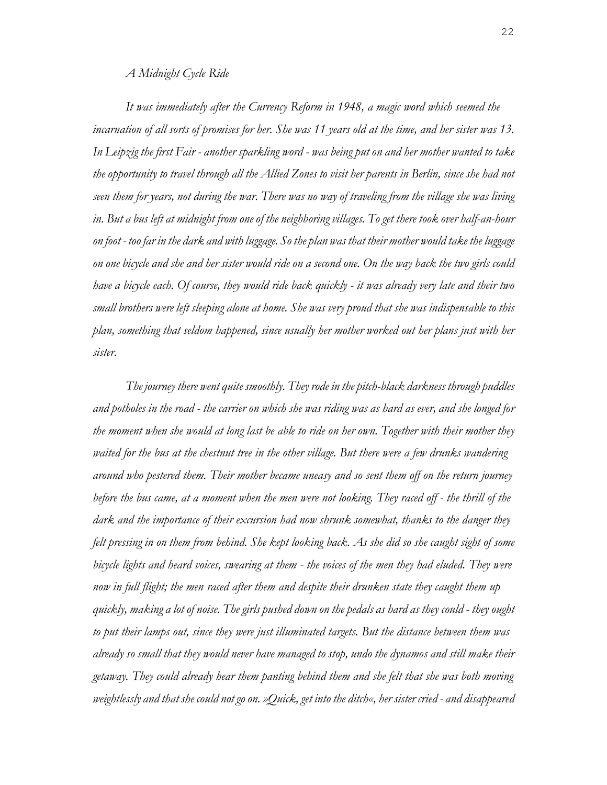## A Midnight Cycle Ride

 It was immediately after the Currency Reform in 1948, a magic word which seemed the incarnation of all sorts of promises for her. She was 11 years old at the time, and her sister was 13. In Leipzig the first Fair - another sparkling word - was being put on and her mother wanted to take the opportunity to travel through all the Allied Zones to visit her parents in Berlin, since she had not seen them for years, not during the war. There was no way of traveling from the village she was living in. But a bus left at midnight from one of the neighboring villages. To get there took over half-an-hour on foot - too far in the dark and with luggage. So the plan was that their mother would take the luggage on one bicycle and she and her sister would ride on a second one. On the way back the two girls could have a bicycle each. Of course, they would ride back quickly - it was already very late and their two small brothers were left sleeping alone at home. She was very proud that she was indispensable to this plan, something that seldom happened, since usually her mother worked out her plans just with her sister.

 The journey there went quite smoothly. They rode in the pitch-black darkness through puddles and potholes in the road - the carrier on which she was riding was as hard as ever, and she longed for the moment when she would at long last be able to ride on her own. Together with their mother they waited for the bus at the chestnut tree in the other village. But there were a few drunks wandering around who pestered them. Their mother became uneasy and so sent them off on the return journey before the bus came, at a moment when the men were not looking. They raced off - the thrill of the dark and the importance of their excursion had now shrunk somewhat, thanks to the danger they felt pressing in on them from behind. She kept looking back. As she did so she caught sight of some bicycle lights and heard voices, swearing at them - the voices of the men they had eluded. They were now in full flight; the men raced after them and despite their drunken state they caught them up quickly, making a lot of noise. The girls pushed down on the pedals as hard as they could - they ought to put their lamps out, since they were just illuminated targets. But the distance between them was already so small that they would never have managed to stop, undo the dynamos and still make their getaway. They could already hear them panting behind them and she felt that she was both moving weightlessly and that she could not go on. »Quick, get into the ditch«, her sister cried - and disappeared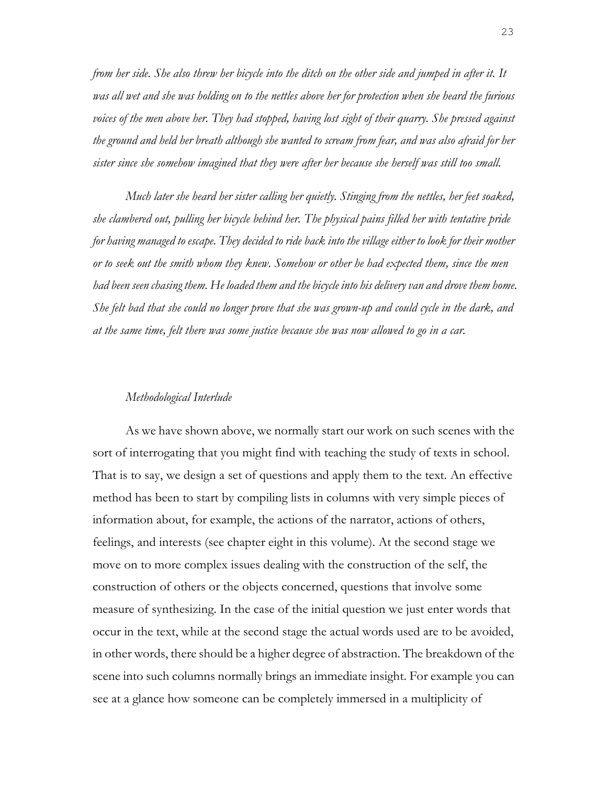from her side. She also threw her bicycle into the ditch on the other side and jumped in after it. It was all wet and she was holding on to the nettles above her for protection when she heard the furious voices of the men above her. They had stopped, having lost sight of their quarry. She pressed against the ground and held her breath although she wanted to scream from fear, and was also afraid for her sister since she somehow imagined that they were after her because she herself was still too small.

 Much later she heard her sister calling her quietly. Stinging from the nettles, her feet soaked, she clambered out, pulling her bicycle behind her. The physical pains filled her with tentative pride for having managed to escape. They decided to ride back into the village either to look for their mother or to seek out the smith whom they knew. Somehow or other he had expected them, since the men had been seen chasing them. He loaded them and the bicycle into his delivery van and drove them home. She felt bad that she could no longer prove that she was grown-up and could cycle in the dark, and at the same time, felt there was some justice because she was now allowed to go in a car.

#### Methodological Interlude

 As we have shown above, we normally start our work on such scenes with the sort of interrogating that you might find with teaching the study of texts in school. That is to say, we design a set of questions and apply them to the text. An effective method has been to start by compiling lists in columns with very simple pieces of information about, for example, the actions of the narrator, actions of others, feelings, and interests (see chapter eight in this volume). At the second stage we move on to more complex issues dealing with the construction of the self, the construction of others or the objects concerned, questions that involve some measure of synthesizing. In the case of the initial question we just enter words that occur in the text, while at the second stage the actual words used are to be avoided, in other words, there should be a higher degree of abstraction. The breakdown of the scene into such columns normally brings an immediate insight. For example you can see at a glance how someone can be completely immersed in a multiplicity of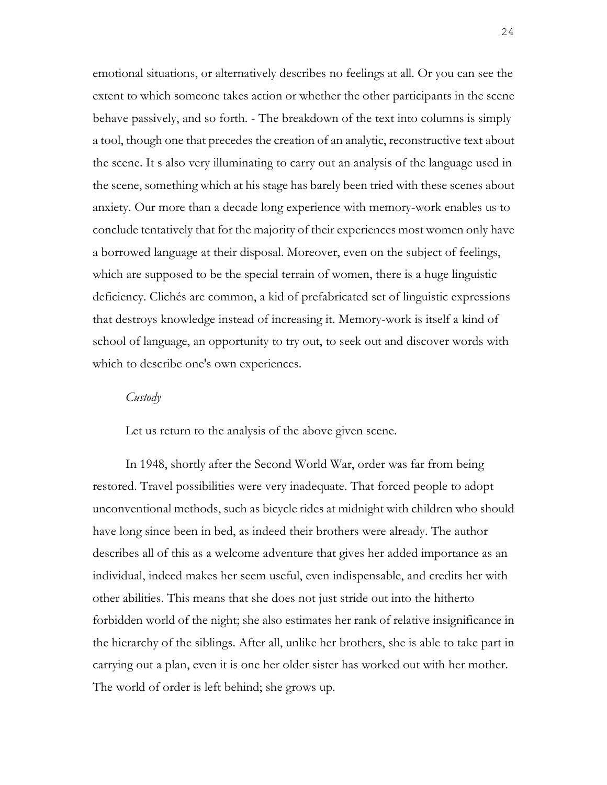emotional situations, or alternatively describes no feelings at all. Or you can see the extent to which someone takes action or whether the other participants in the scene behave passively, and so forth. - The breakdown of the text into columns is simply a tool, though one that precedes the creation of an analytic, reconstructive text about the scene. It s also very illuminating to carry out an analysis of the language used in the scene, something which at his stage has barely been tried with these scenes about anxiety. Our more than a decade long experience with memory-work enables us to conclude tentatively that for the majority of their experiences most women only have a borrowed language at their disposal. Moreover, even on the subject of feelings, which are supposed to be the special terrain of women, there is a huge linguistic deficiency. Clichés are common, a kid of prefabricated set of linguistic expressions that destroys knowledge instead of increasing it. Memory-work is itself a kind of school of language, an opportunity to try out, to seek out and discover words with which to describe one's own experiences.

#### Custody

Let us return to the analysis of the above given scene.

 In 1948, shortly after the Second World War, order was far from being restored. Travel possibilities were very inadequate. That forced people to adopt unconventional methods, such as bicycle rides at midnight with children who should have long since been in bed, as indeed their brothers were already. The author describes all of this as a welcome adventure that gives her added importance as an individual, indeed makes her seem useful, even indispensable, and credits her with other abilities. This means that she does not just stride out into the hitherto forbidden world of the night; she also estimates her rank of relative insignificance in the hierarchy of the siblings. After all, unlike her brothers, she is able to take part in carrying out a plan, even it is one her older sister has worked out with her mother. The world of order is left behind; she grows up.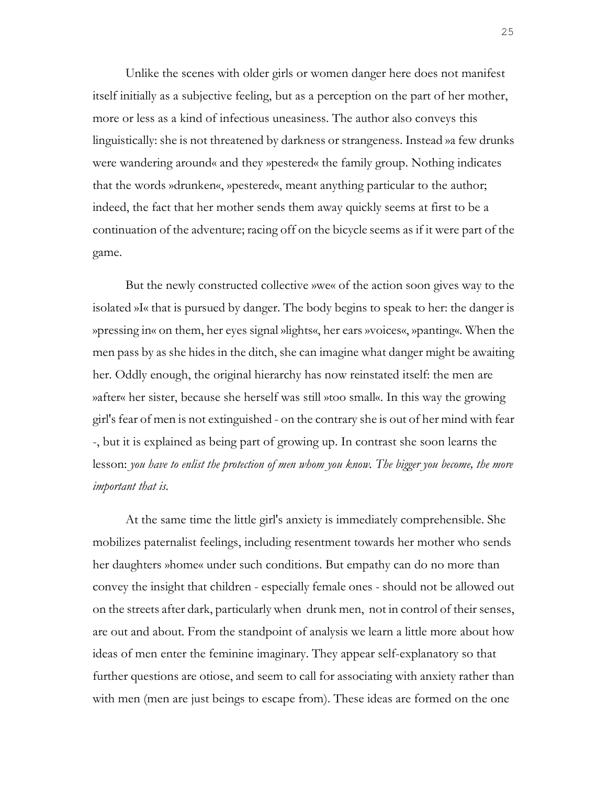Unlike the scenes with older girls or women danger here does not manifest itself initially as a subjective feeling, but as a perception on the part of her mother, more or less as a kind of infectious uneasiness. The author also conveys this linguistically: she is not threatened by darkness or strangeness. Instead »a few drunks were wandering around« and they »pestered« the family group. Nothing indicates that the words »drunken«, »pestered«, meant anything particular to the author; indeed, the fact that her mother sends them away quickly seems at first to be a continuation of the adventure; racing off on the bicycle seems as if it were part of the game.

 But the newly constructed collective »we« of the action soon gives way to the isolated »I« that is pursued by danger. The body begins to speak to her: the danger is »pressing in« on them, her eyes signal »lights«, her ears »voices«, »panting«. When the men pass by as she hides in the ditch, she can imagine what danger might be awaiting her. Oddly enough, the original hierarchy has now reinstated itself: the men are »after« her sister, because she herself was still »too small«. In this way the growing girl's fear of men is not extinguished - on the contrary she is out of her mind with fear -, but it is explained as being part of growing up. In contrast she soon learns the lesson: you have to enlist the protection of men whom you know. The bigger you become, the more important that is.

 At the same time the little girl's anxiety is immediately comprehensible. She mobilizes paternalist feelings, including resentment towards her mother who sends her daughters »home« under such conditions. But empathy can do no more than convey the insight that children - especially female ones - should not be allowed out on the streets after dark, particularly when drunk men, not in control of their senses, are out and about. From the standpoint of analysis we learn a little more about how ideas of men enter the feminine imaginary. They appear self-explanatory so that further questions are otiose, and seem to call for associating with anxiety rather than with men (men are just beings to escape from). These ideas are formed on the one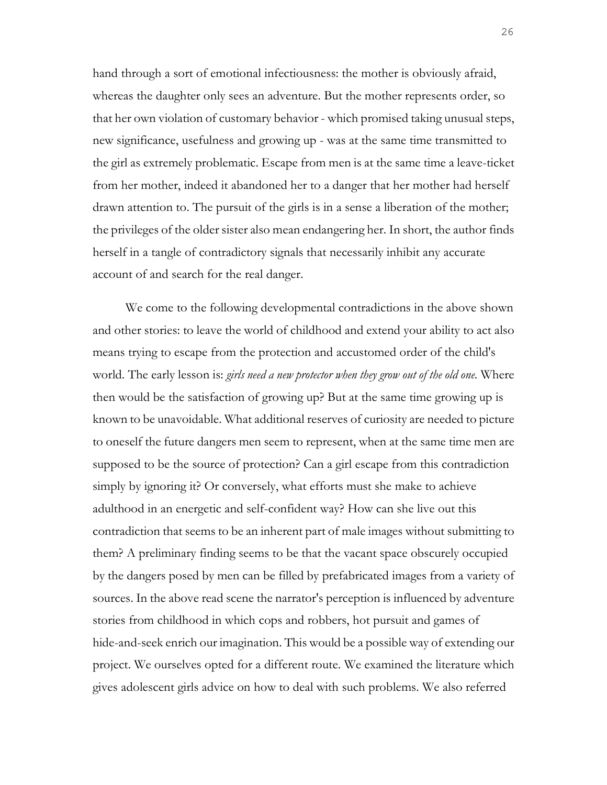hand through a sort of emotional infectiousness: the mother is obviously afraid, whereas the daughter only sees an adventure. But the mother represents order, so that her own violation of customary behavior - which promised taking unusual steps, new significance, usefulness and growing up - was at the same time transmitted to the girl as extremely problematic. Escape from men is at the same time a leave-ticket from her mother, indeed it abandoned her to a danger that her mother had herself drawn attention to. The pursuit of the girls is in a sense a liberation of the mother; the privileges of the older sister also mean endangering her. In short, the author finds herself in a tangle of contradictory signals that necessarily inhibit any accurate account of and search for the real danger.

 We come to the following developmental contradictions in the above shown and other stories: to leave the world of childhood and extend your ability to act also means trying to escape from the protection and accustomed order of the child's world. The early lesson is: *girls need a new protector when they grow out of the old one*. Where then would be the satisfaction of growing up? But at the same time growing up is known to be unavoidable. What additional reserves of curiosity are needed to picture to oneself the future dangers men seem to represent, when at the same time men are supposed to be the source of protection? Can a girl escape from this contradiction simply by ignoring it? Or conversely, what efforts must she make to achieve adulthood in an energetic and self-confident way? How can she live out this contradiction that seems to be an inherent part of male images without submitting to them? A preliminary finding seems to be that the vacant space obscurely occupied by the dangers posed by men can be filled by prefabricated images from a variety of sources. In the above read scene the narrator's perception is influenced by adventure stories from childhood in which cops and robbers, hot pursuit and games of hide-and-seek enrich our imagination. This would be a possible way of extending our project. We ourselves opted for a different route. We examined the literature which gives adolescent girls advice on how to deal with such problems. We also referred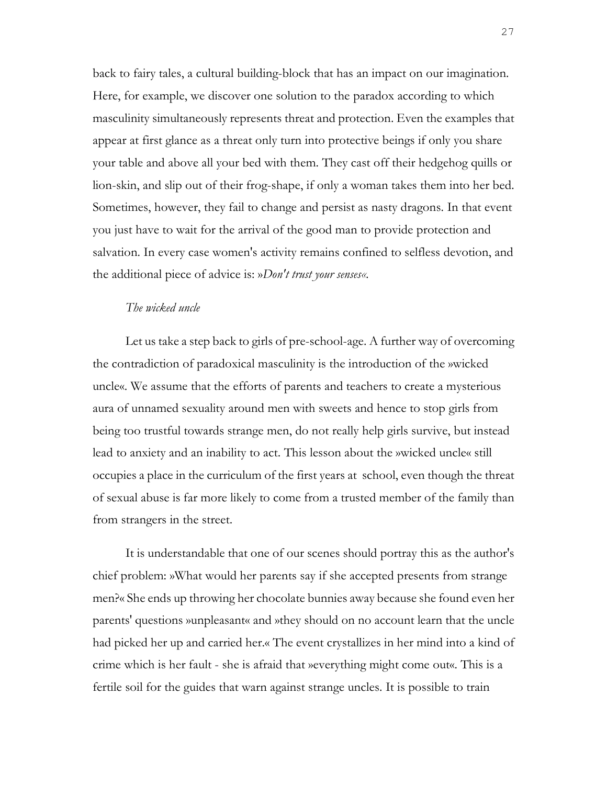back to fairy tales, a cultural building-block that has an impact on our imagination. Here, for example, we discover one solution to the paradox according to which masculinity simultaneously represents threat and protection. Even the examples that appear at first glance as a threat only turn into protective beings if only you share your table and above all your bed with them. They cast off their hedgehog quills or lion-skin, and slip out of their frog-shape, if only a woman takes them into her bed. Sometimes, however, they fail to change and persist as nasty dragons. In that event you just have to wait for the arrival of the good man to provide protection and salvation. In every case women's activity remains confined to selfless devotion, and the additional piece of advice is: »Don't trust your senses«.

# The wicked uncle

 Let us take a step back to girls of pre-school-age. A further way of overcoming the contradiction of paradoxical masculinity is the introduction of the »wicked uncle«. We assume that the efforts of parents and teachers to create a mysterious aura of unnamed sexuality around men with sweets and hence to stop girls from being too trustful towards strange men, do not really help girls survive, but instead lead to anxiety and an inability to act. This lesson about the »wicked uncle« still occupies a place in the curriculum of the first years at school, even though the threat of sexual abuse is far more likely to come from a trusted member of the family than from strangers in the street.

 It is understandable that one of our scenes should portray this as the author's chief problem: »What would her parents say if she accepted presents from strange men?« She ends up throwing her chocolate bunnies away because she found even her parents' questions »unpleasant« and »they should on no account learn that the uncle had picked her up and carried her.« The event crystallizes in her mind into a kind of crime which is her fault - she is afraid that »everything might come out«. This is a fertile soil for the guides that warn against strange uncles. It is possible to train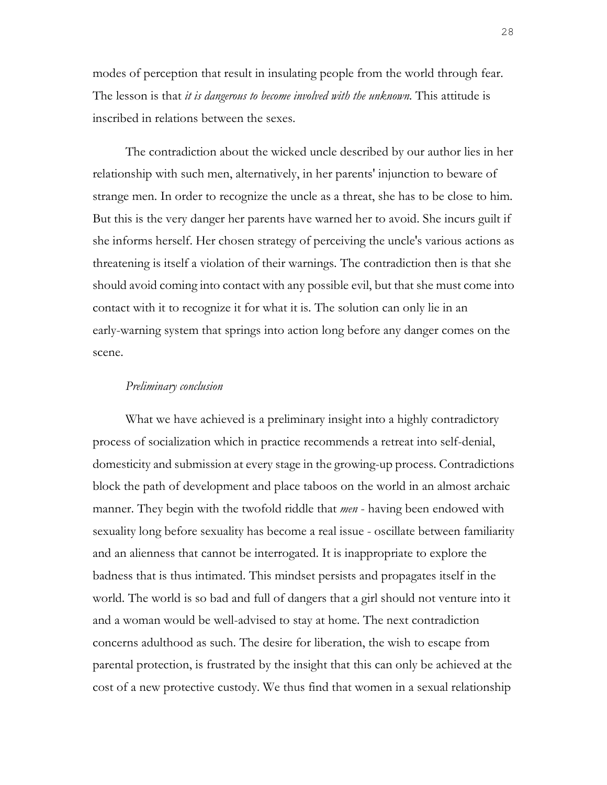modes of perception that result in insulating people from the world through fear. The lesson is that *it is dangerous to become involved with the unknown*. This attitude is inscribed in relations between the sexes.

 The contradiction about the wicked uncle described by our author lies in her relationship with such men, alternatively, in her parents' injunction to beware of strange men. In order to recognize the uncle as a threat, she has to be close to him. But this is the very danger her parents have warned her to avoid. She incurs guilt if she informs herself. Her chosen strategy of perceiving the uncle's various actions as threatening is itself a violation of their warnings. The contradiction then is that she should avoid coming into contact with any possible evil, but that she must come into contact with it to recognize it for what it is. The solution can only lie in an early-warning system that springs into action long before any danger comes on the scene.

#### Preliminary conclusion

 What we have achieved is a preliminary insight into a highly contradictory process of socialization which in practice recommends a retreat into self-denial, domesticity and submission at every stage in the growing-up process. Contradictions block the path of development and place taboos on the world in an almost archaic manner. They begin with the twofold riddle that *men* - having been endowed with sexuality long before sexuality has become a real issue - oscillate between familiarity and an alienness that cannot be interrogated. It is inappropriate to explore the badness that is thus intimated. This mindset persists and propagates itself in the world. The world is so bad and full of dangers that a girl should not venture into it and a woman would be well-advised to stay at home. The next contradiction concerns adulthood as such. The desire for liberation, the wish to escape from parental protection, is frustrated by the insight that this can only be achieved at the cost of a new protective custody. We thus find that women in a sexual relationship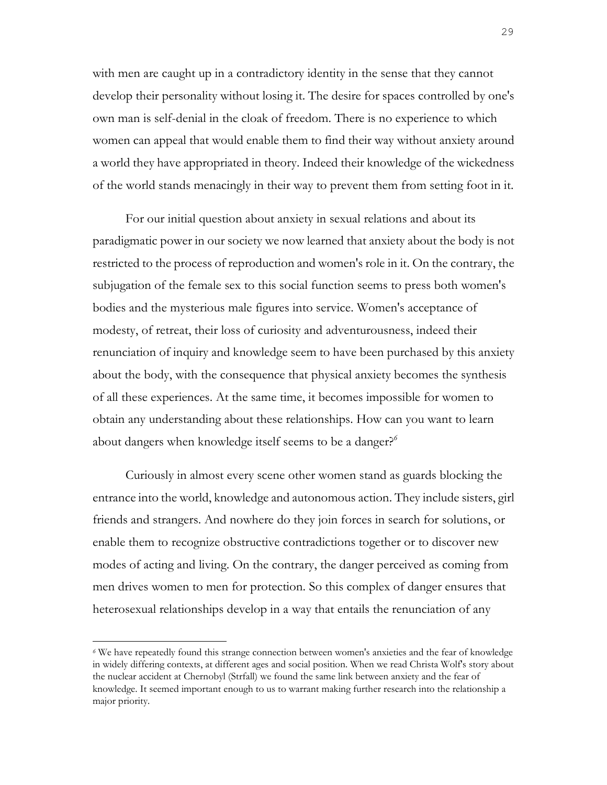with men are caught up in a contradictory identity in the sense that they cannot develop their personality without losing it. The desire for spaces controlled by one's own man is self-denial in the cloak of freedom. There is no experience to which women can appeal that would enable them to find their way without anxiety around a world they have appropriated in theory. Indeed their knowledge of the wickedness of the world stands menacingly in their way to prevent them from setting foot in it.

 For our initial question about anxiety in sexual relations and about its paradigmatic power in our society we now learned that anxiety about the body is not restricted to the process of reproduction and women's role in it. On the contrary, the subjugation of the female sex to this social function seems to press both women's bodies and the mysterious male figures into service. Women's acceptance of modesty, of retreat, their loss of curiosity and adventurousness, indeed their renunciation of inquiry and knowledge seem to have been purchased by this anxiety about the body, with the consequence that physical anxiety becomes the synthesis of all these experiences. At the same time, it becomes impossible for women to obtain any understanding about these relationships. How can you want to learn about dangers when knowledge itself seems to be a danger? $6$ 

 Curiously in almost every scene other women stand as guards blocking the entrance into the world, knowledge and autonomous action. They include sisters, girl friends and strangers. And nowhere do they join forces in search for solutions, or enable them to recognize obstructive contradictions together or to discover new modes of acting and living. On the contrary, the danger perceived as coming from men drives women to men for protection. So this complex of danger ensures that heterosexual relationships develop in a way that entails the renunciation of any

<sup>6</sup> We have repeatedly found this strange connection between women's anxieties and the fear of knowledge in widely differing contexts, at different ages and social position. When we read Christa Wolf's story about the nuclear accident at Chernobyl (Strfall) we found the same link between anxiety and the fear of knowledge. It seemed important enough to us to warrant making further research into the relationship a major priority.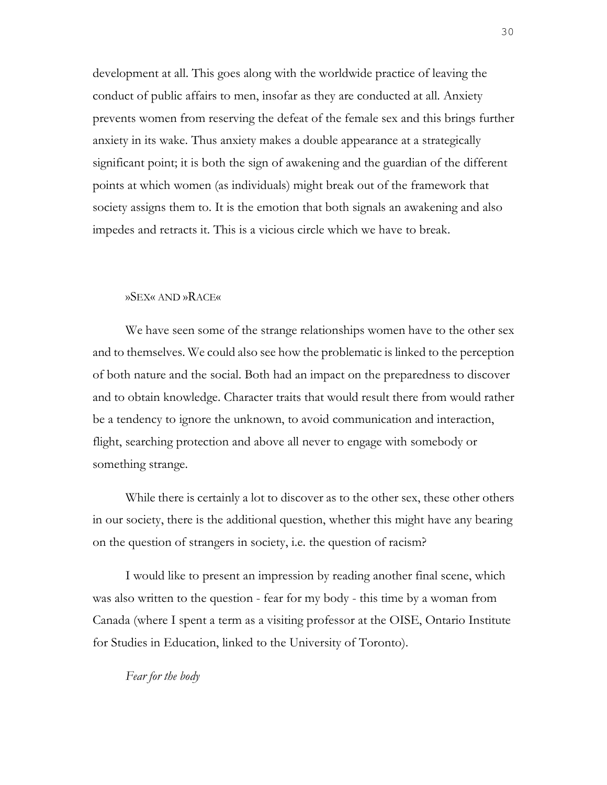development at all. This goes along with the worldwide practice of leaving the conduct of public affairs to men, insofar as they are conducted at all. Anxiety prevents women from reserving the defeat of the female sex and this brings further anxiety in its wake. Thus anxiety makes a double appearance at a strategically significant point; it is both the sign of awakening and the guardian of the different points at which women (as individuals) might break out of the framework that society assigns them to. It is the emotion that both signals an awakening and also impedes and retracts it. This is a vicious circle which we have to break.

## »SEX« AND »RACE«

 We have seen some of the strange relationships women have to the other sex and to themselves. We could also see how the problematic is linked to the perception of both nature and the social. Both had an impact on the preparedness to discover and to obtain knowledge. Character traits that would result there from would rather be a tendency to ignore the unknown, to avoid communication and interaction, flight, searching protection and above all never to engage with somebody or something strange.

 While there is certainly a lot to discover as to the other sex, these other others in our society, there is the additional question, whether this might have any bearing on the question of strangers in society, i.e. the question of racism?

 I would like to present an impression by reading another final scene, which was also written to the question - fear for my body - this time by a woman from Canada (where I spent a term as a visiting professor at the OISE, Ontario Institute for Studies in Education, linked to the University of Toronto).

Fear for the body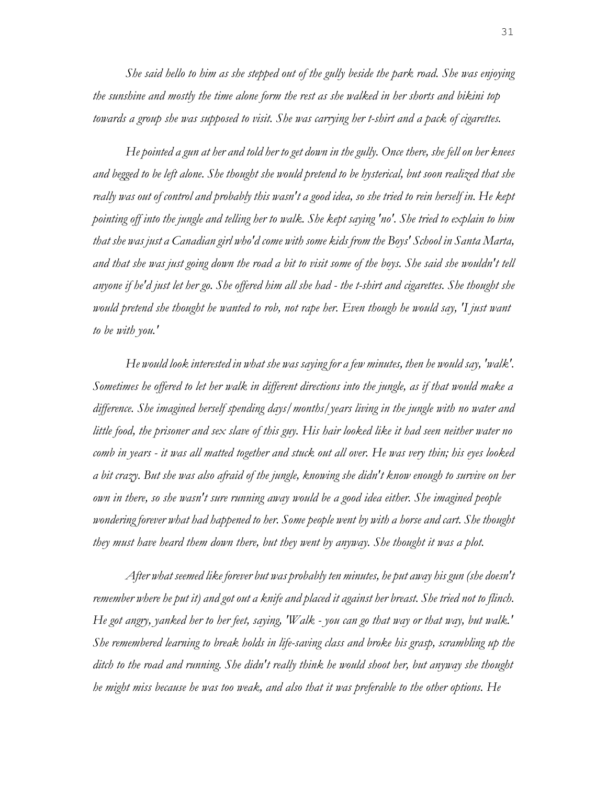She said hello to him as she stepped out of the gully beside the park road. She was enjoying the sunshine and mostly the time alone form the rest as she walked in her shorts and bikini top towards a group she was supposed to visit. She was carrying her t-shirt and a pack of cigarettes.

 He pointed a gun at her and told her to get down in the gully. Once there, she fell on her knees and begged to be left alone. She thought she would pretend to be hysterical, but soon realized that she really was out of control and probably this wasn't a good idea, so she tried to rein herself in. He kept pointing off into the jungle and telling her to walk. She kept saying 'no'. She tried to explain to him that she was just a Canadian girl who'd come with some kids from the Boys' School in Santa Marta, and that she was just going down the road a bit to visit some of the boys. She said she wouldn't tell anyone if he'd just let her go. She offered him all she had - the t-shirt and cigarettes. She thought she would pretend she thought he wanted to rob, not rape her. Even though he would say, 'I just want to be with you.'

 He would look interested in what she was saying for a few minutes, then he would say, 'walk'. Sometimes he offered to let her walk in different directions into the jungle, as if that would make a difference. She imagined herself spending days/months/years living in the jungle with no water and little food, the prisoner and sex slave of this guy. His hair looked like it had seen neither water no comb in years - it was all matted together and stuck out all over. He was very thin; his eyes looked a bit crazy. But she was also afraid of the jungle, knowing she didn't know enough to survive on her own in there, so she wasn't sure running away would be a good idea either. She imagined people wondering forever what had happened to her. Some people went by with a horse and cart. She thought they must have heard them down there, but they went by anyway. She thought it was a plot.

 After what seemed like forever but was probably ten minutes, he put away his gun (she doesn't remember where he put it) and got out a knife and placed it against her breast. She tried not to flinch. He got angry, yanked her to her feet, saying, 'Walk - you can go that way or that way, but walk.' She remembered learning to break holds in life-saving class and broke his grasp, scrambling up the ditch to the road and running. She didn't really think he would shoot her, but anyway she thought he might miss because he was too weak, and also that it was preferable to the other options. He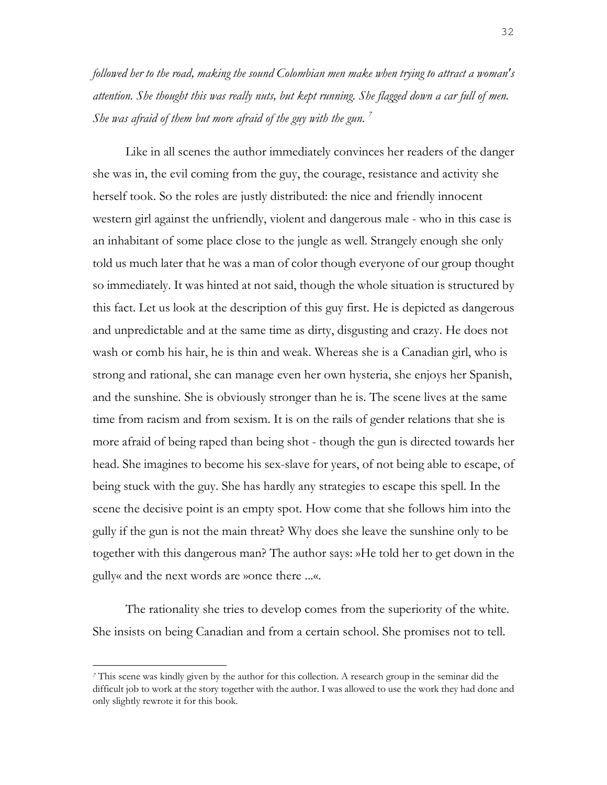followed her to the road, making the sound Colombian men make when trying to attract a woman's attention. She thought this was really nuts, but kept running. She flagged down a car full of men. She was afraid of them but more afraid of the guy with the gun.<sup>7</sup>

 Like in all scenes the author immediately convinces her readers of the danger she was in, the evil coming from the guy, the courage, resistance and activity she herself took. So the roles are justly distributed: the nice and friendly innocent western girl against the unfriendly, violent and dangerous male - who in this case is an inhabitant of some place close to the jungle as well. Strangely enough she only told us much later that he was a man of color though everyone of our group thought so immediately. It was hinted at not said, though the whole situation is structured by this fact. Let us look at the description of this guy first. He is depicted as dangerous and unpredictable and at the same time as dirty, disgusting and crazy. He does not wash or comb his hair, he is thin and weak. Whereas she is a Canadian girl, who is strong and rational, she can manage even her own hysteria, she enjoys her Spanish, and the sunshine. She is obviously stronger than he is. The scene lives at the same time from racism and from sexism. It is on the rails of gender relations that she is more afraid of being raped than being shot - though the gun is directed towards her head. She imagines to become his sex-slave for years, of not being able to escape, of being stuck with the guy. She has hardly any strategies to escape this spell. In the scene the decisive point is an empty spot. How come that she follows him into the gully if the gun is not the main threat? Why does she leave the sunshine only to be together with this dangerous man? The author says: »He told her to get down in the gully« and the next words are »once there ...«.

 The rationality she tries to develop comes from the superiority of the white. She insists on being Canadian and from a certain school. She promises not to tell.

<sup>7</sup> This scene was kindly given by the author for this collection. A research group in the seminar did the difficult job to work at the story together with the author. I was allowed to use the work they had done and only slightly rewrote it for this book.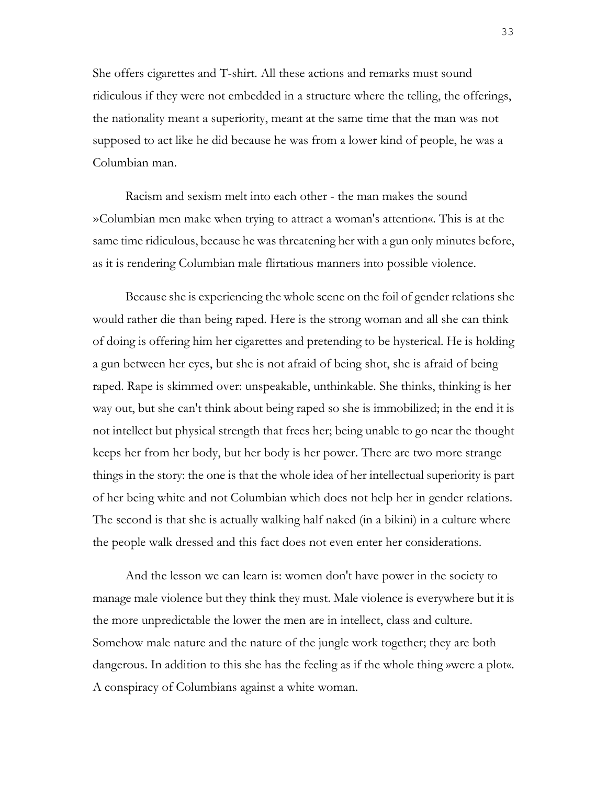She offers cigarettes and T-shirt. All these actions and remarks must sound ridiculous if they were not embedded in a structure where the telling, the offerings, the nationality meant a superiority, meant at the same time that the man was not supposed to act like he did because he was from a lower kind of people, he was a Columbian man.

 Racism and sexism melt into each other - the man makes the sound »Columbian men make when trying to attract a woman's attention«. This is at the same time ridiculous, because he was threatening her with a gun only minutes before, as it is rendering Columbian male flirtatious manners into possible violence.

 Because she is experiencing the whole scene on the foil of gender relations she would rather die than being raped. Here is the strong woman and all she can think of doing is offering him her cigarettes and pretending to be hysterical. He is holding a gun between her eyes, but she is not afraid of being shot, she is afraid of being raped. Rape is skimmed over: unspeakable, unthinkable. She thinks, thinking is her way out, but she can't think about being raped so she is immobilized; in the end it is not intellect but physical strength that frees her; being unable to go near the thought keeps her from her body, but her body is her power. There are two more strange things in the story: the one is that the whole idea of her intellectual superiority is part of her being white and not Columbian which does not help her in gender relations. The second is that she is actually walking half naked (in a bikini) in a culture where the people walk dressed and this fact does not even enter her considerations.

 And the lesson we can learn is: women don't have power in the society to manage male violence but they think they must. Male violence is everywhere but it is the more unpredictable the lower the men are in intellect, class and culture. Somehow male nature and the nature of the jungle work together; they are both dangerous. In addition to this she has the feeling as if the whole thing »were a plot«. A conspiracy of Columbians against a white woman.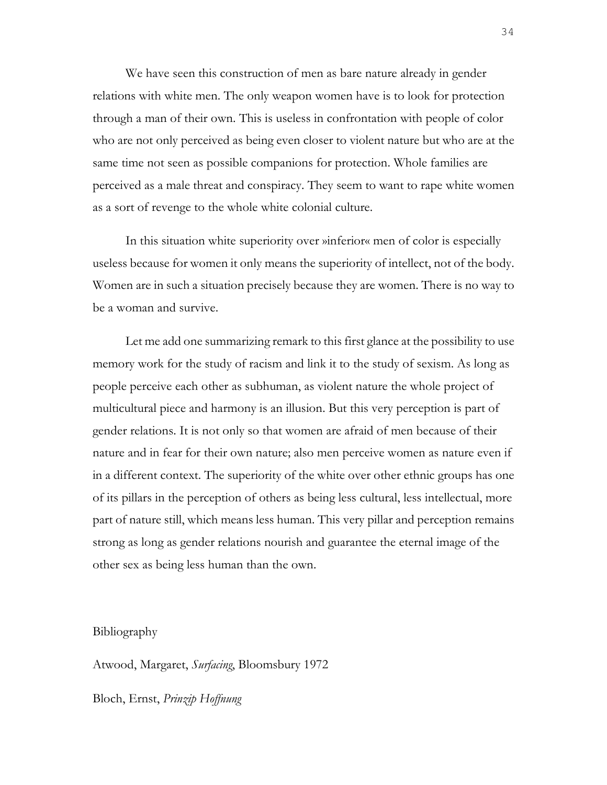We have seen this construction of men as bare nature already in gender relations with white men. The only weapon women have is to look for protection through a man of their own. This is useless in confrontation with people of color who are not only perceived as being even closer to violent nature but who are at the same time not seen as possible companions for protection. Whole families are perceived as a male threat and conspiracy. They seem to want to rape white women as a sort of revenge to the whole white colonial culture.

 In this situation white superiority over »inferior« men of color is especially useless because for women it only means the superiority of intellect, not of the body. Women are in such a situation precisely because they are women. There is no way to be a woman and survive.

 Let me add one summarizing remark to this first glance at the possibility to use memory work for the study of racism and link it to the study of sexism. As long as people perceive each other as subhuman, as violent nature the whole project of multicultural piece and harmony is an illusion. But this very perception is part of gender relations. It is not only so that women are afraid of men because of their nature and in fear for their own nature; also men perceive women as nature even if in a different context. The superiority of the white over other ethnic groups has one of its pillars in the perception of others as being less cultural, less intellectual, more part of nature still, which means less human. This very pillar and perception remains strong as long as gender relations nourish and guarantee the eternal image of the other sex as being less human than the own.

## Bibliography

Atwood, Margaret, Surfacing, Bloomsbury 1972

Bloch, Ernst, Prinzip Hoffnung